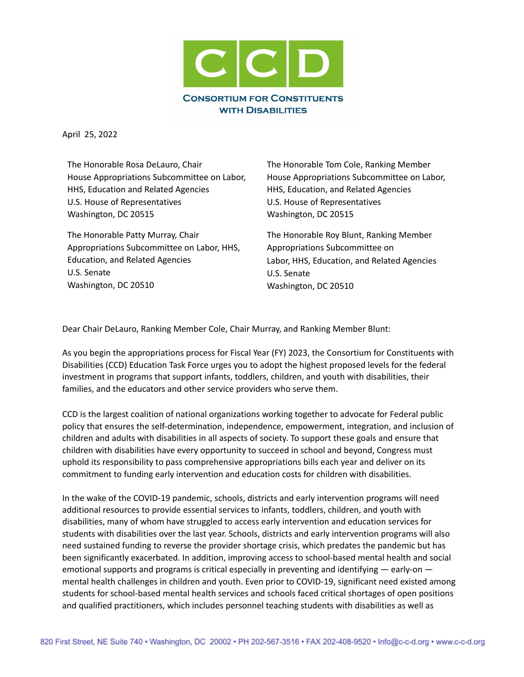

April 25, 2022

The Honorable Rosa DeLauro, Chair House Appropriations Subcommittee on Labor, HHS, Education and Related Agencies U.S. House of Representatives Washington, DC 20515

The Honorable Patty Murray, Chair Appropriations Subcommittee on Labor, HHS, Education, and Related Agencies U.S. Senate Washington, DC 20510

The Honorable Tom Cole, Ranking Member House Appropriations Subcommittee on Labor, HHS, Education, and Related Agencies U.S. House of Representatives Washington, DC 20515

The Honorable Roy Blunt, Ranking Member Appropriations Subcommittee on Labor, HHS, Education, and Related Agencies U.S. Senate Washington, DC 20510

Dear Chair DeLauro, Ranking Member Cole, Chair Murray, and Ranking Member Blunt:

As you begin the appropriations process for Fiscal Year (FY) 2023, the Consortium for Constituents with Disabilities (CCD) Education Task Force urges you to adopt the highest proposed levels for the federal investment in programs that support infants, toddlers, children, and youth with disabilities, their families, and the educators and other service providers who serve them.

CCD is the largest coalition of national organizations working together to advocate for Federal public policy that ensures the self-determination, independence, empowerment, integration, and inclusion of children and adults with disabilities in all aspects of society. To support these goals and ensure that children with disabilities have every opportunity to succeed in school and beyond, Congress must uphold its responsibility to pass comprehensive appropriations bills each year and deliver on its commitment to funding early intervention and education costs for children with disabilities.

In the wake of the COVID-19 pandemic, schools, districts and early intervention programs will need additional resources to provide essential services to infants, toddlers, children, and youth with disabilities, many of whom have struggled to access early intervention and education services for students with disabilities over the last year. Schools, districts and early intervention programs will also need sustained funding to reverse the provider shortage crisis, which predates the pandemic but has been significantly exacerbated. In addition, improving access to school-based mental health and social emotional supports and programs is critical especially in preventing and identifying — early-on mental health challenges in children and youth. Even prior to COVID-19, significant need existed among students for school-based mental health services and schools faced critical shortages of open positions and qualified practitioners, which includes personnel teaching students with disabilities as well as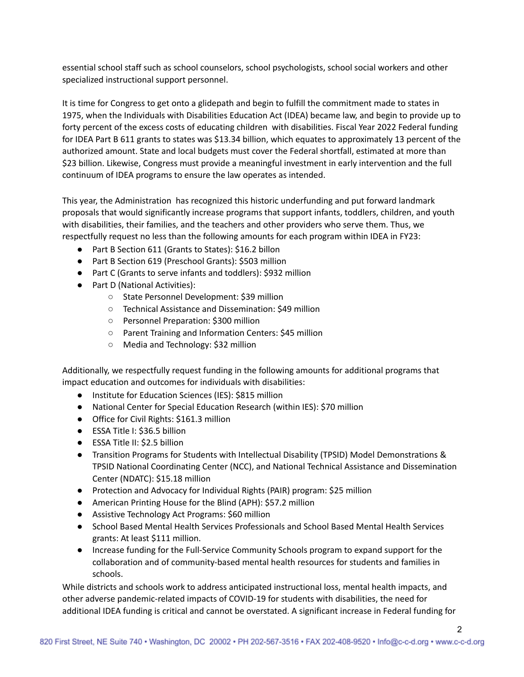essential school staff such as school counselors, school psychologists, school social workers and other specialized instructional support personnel.

It is time for Congress to get onto a glidepath and begin to fulfill the commitment made to states in 1975, when the Individuals with Disabilities Education Act (IDEA) became law, and begin to provide up to forty percent of the excess costs of educating children with disabilities. Fiscal Year 2022 Federal funding for IDEA Part B 611 grants to states was \$13.34 billion, which equates to approximately 13 percent of the authorized amount. State and local budgets must cover the Federal shortfall, estimated at more than \$23 billion. Likewise, Congress must provide a meaningful investment in early intervention and the full continuum of IDEA programs to ensure the law operates as intended.

This year, the Administration has recognized this historic underfunding and put forward landmark proposals that would significantly increase programs that support infants, toddlers, children, and youth with disabilities, their families, and the teachers and other providers who serve them. Thus, we respectfully request no less than the following amounts for each program within IDEA in FY23:

- Part B Section 611 (Grants to States): \$16.2 billon
- Part B Section 619 (Preschool Grants): \$503 million
- Part C (Grants to serve infants and toddlers): \$932 million
- Part D (National Activities):
	- State Personnel Development: \$39 million
	- Technical Assistance and Dissemination: \$49 million
	- Personnel Preparation: \$300 million
	- Parent Training and Information Centers: \$45 million
	- Media and Technology: \$32 million

Additionally, we respectfully request funding in the following amounts for additional programs that impact education and outcomes for individuals with disabilities:

- Institute for Education Sciences (IES): \$815 million
- National Center for Special Education Research (within IES): \$70 million
- Office for Civil Rights: \$161.3 million
- ESSA Title I: \$36.5 billion
- ESSA Title II: \$2.5 billion
- Transition Programs for Students with Intellectual Disability (TPSID) Model Demonstrations & TPSID National Coordinating Center (NCC), and National Technical Assistance and Dissemination Center (NDATC): \$15.18 million
- Protection and Advocacy for Individual Rights (PAIR) program: \$25 million
- American Printing House for the Blind (APH): \$57.2 million
- Assistive Technology Act Programs: \$60 million
- School Based Mental Health Services Professionals and School Based Mental Health Services grants: At least \$111 million.
- Increase funding for the Full-Service Community Schools program to expand support for the collaboration and of community-based mental health resources for students and families in schools.

While districts and schools work to address anticipated instructional loss, mental health impacts, and other adverse pandemic-related impacts of COVID-19 for students with disabilities, the need for additional IDEA funding is critical and cannot be overstated. A significant increase in Federal funding for

2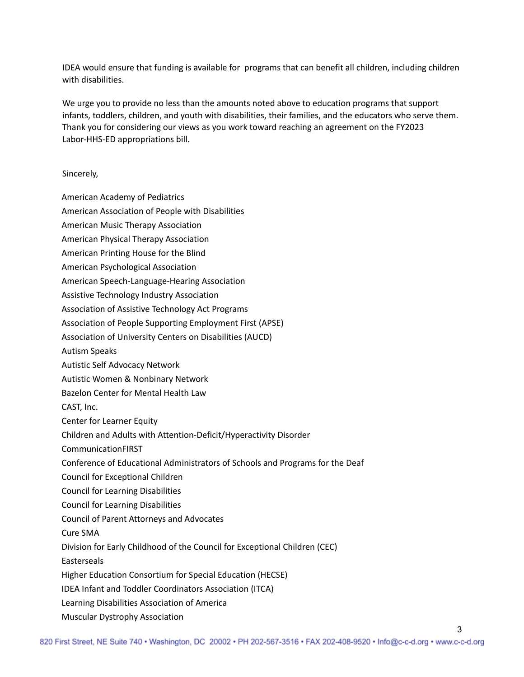IDEA would ensure that funding is available for programs that can benefit all children, including children with disabilities.

We urge you to provide no less than the amounts noted above to education programs that support infants, toddlers, children, and youth with disabilities, their families, and the educators who serve them. Thank you for considering our views as you work toward reaching an agreement on the FY2023 Labor-HHS-ED appropriations bill.

## Sincerely,

- American Academy of Pediatrics
- American Association of People with Disabilities
- American Music Therapy Association
- American Physical Therapy Association
- American Printing House for the Blind
- American Psychological Association
- American Speech-Language-Hearing Association
- Assistive Technology Industry Association
- Association of Assistive Technology Act Programs
- Association of People Supporting Employment First (APSE)
- Association of University Centers on Disabilities (AUCD)
- Autism Speaks
- Autistic Self Advocacy Network
- Autistic Women & Nonbinary Network
- Bazelon Center for Mental Health Law
- CAST, Inc.
- Center for Learner Equity
- Children and Adults with Attention-Deficit/Hyperactivity Disorder
- CommunicationFIRST
- Conference of Educational Administrators of Schools and Programs for the Deaf
- Council for Exceptional Children
- Council for Learning Disabilities
- Council for Learning Disabilities
- Council of Parent Attorneys and Advocates
- Cure SMA
- Division for Early Childhood of the Council for Exceptional Children (CEC)
- Easterseals
- Higher Education Consortium for Special Education (HECSE)
- IDEA Infant and Toddler Coordinators Association (ITCA)
- Learning Disabilities Association of America
- Muscular Dystrophy Association